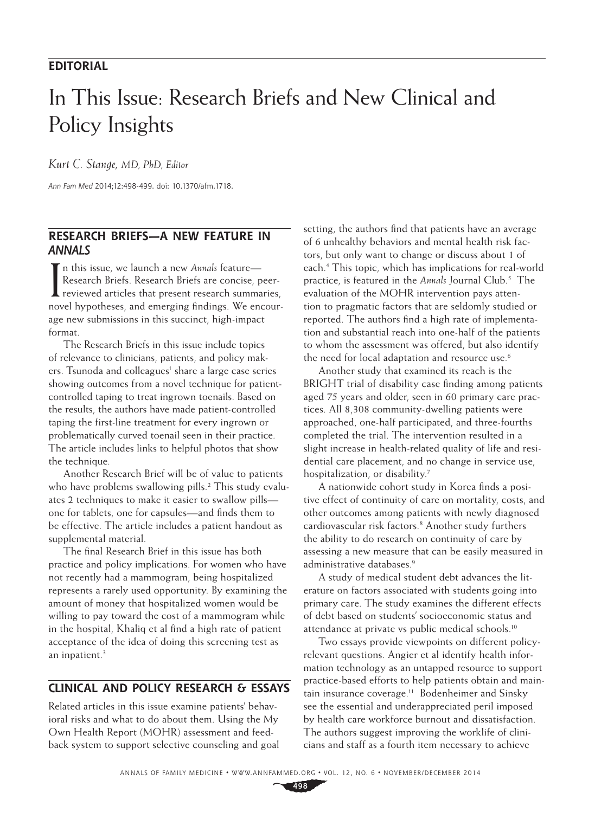## **EDITORIAL**

# In This Issue: Research Briefs and New Clinical and Policy Insights

*Kurt C. Stange, MD, PhD, Editor*

*Ann Fam Med* 2014;12:498-499. doi: 10.1370/afm.1718.

#### **RESEARCH BRIEFS—A NEW FEATURE IN ANNALS**

In this issue, we launch a new *Annals* feature—<br>Research Briefs. Research Briefs are concise, p<br>reviewed articles that present research summa<br>newl have been and among in fading We are Research Briefs. Research Briefs are concise, peerreviewed articles that present research summaries, novel hypotheses, and emerging findings. We encourage new submissions in this succinct, high-impact format.

The Research Briefs in this issue include topics of relevance to clinicians, patients, and policy makers. Tsunoda and colleagues<sup>1</sup> share a large case series showing outcomes from a novel technique for patientcontrolled taping to treat ingrown toenails. Based on the results, the authors have made patient-controlled taping the first-line treatment for every ingrown or problematically curved toenail seen in their practice. The article includes links to helpful photos that show the technique.

Another Research Brief will be of value to patients who have problems swallowing pills.<sup>2</sup> This study evaluates 2 techniques to make it easier to swallow pills one for tablets, one for capsules—and finds them to be effective. The article includes a patient handout as supplemental material.

The final Research Brief in this issue has both practice and policy implications. For women who have not recently had a mammogram, being hospitalized represents a rarely used opportunity. By examining the amount of money that hospitalized women would be willing to pay toward the cost of a mammogram while in the hospital, Khaliq et al find a high rate of patient acceptance of the idea of doing this screening test as an inpatient.<sup>3</sup>

### **CLINICAL AND POLICY RESEARCH & ESSAYS**

Related articles in this issue examine patients' behavioral risks and what to do about them. Using the My Own Health Report (MOHR) assessment and feedback system to support selective counseling and goal

setting, the authors find that patients have an average of 6 unhealthy behaviors and mental health risk factors, but only want to change or discuss about 1 of each.4 This topic, which has implications for real-world practice, is featured in the *Annals* Journal Club.5 The evaluation of the MOHR intervention pays attention to pragmatic factors that are seldomly studied or reported. The authors find a high rate of implementation and substantial reach into one-half of the patients to whom the assessment was offered, but also identify the need for local adaptation and resource use.<sup>6</sup>

Another study that examined its reach is the BRIGHT trial of disability case finding among patients aged 75 years and older, seen in 60 primary care practices. All 8,308 community-dwelling patients were approached, one-half participated, and three-fourths completed the trial. The intervention resulted in a slight increase in health-related quality of life and residential care placement, and no change in service use, hospitalization, or disability.7

A nationwide cohort study in Korea finds a positive effect of continuity of care on mortality, costs, and other outcomes among patients with newly diagnosed cardiovascular risk factors.8 Another study furthers the ability to do research on continuity of care by assessing a new measure that can be easily measured in administrative databases<sup>9</sup>

A study of medical student debt advances the literature on factors associated with students going into primary care. The study examines the different effects of debt based on students' socioeconomic status and attendance at private vs public medical schools.<sup>10</sup>

Two essays provide viewpoints on different policyrelevant questions. Angier et al identify health information technology as an untapped resource to support practice-based efforts to help patients obtain and maintain insurance coverage.<sup>11</sup> Bodenheimer and Sinsky see the essential and underappreciated peril imposed by health care workforce burnout and dissatisfaction. The authors suggest improving the worklife of clinicians and staff as a fourth item necessary to achieve

**498**